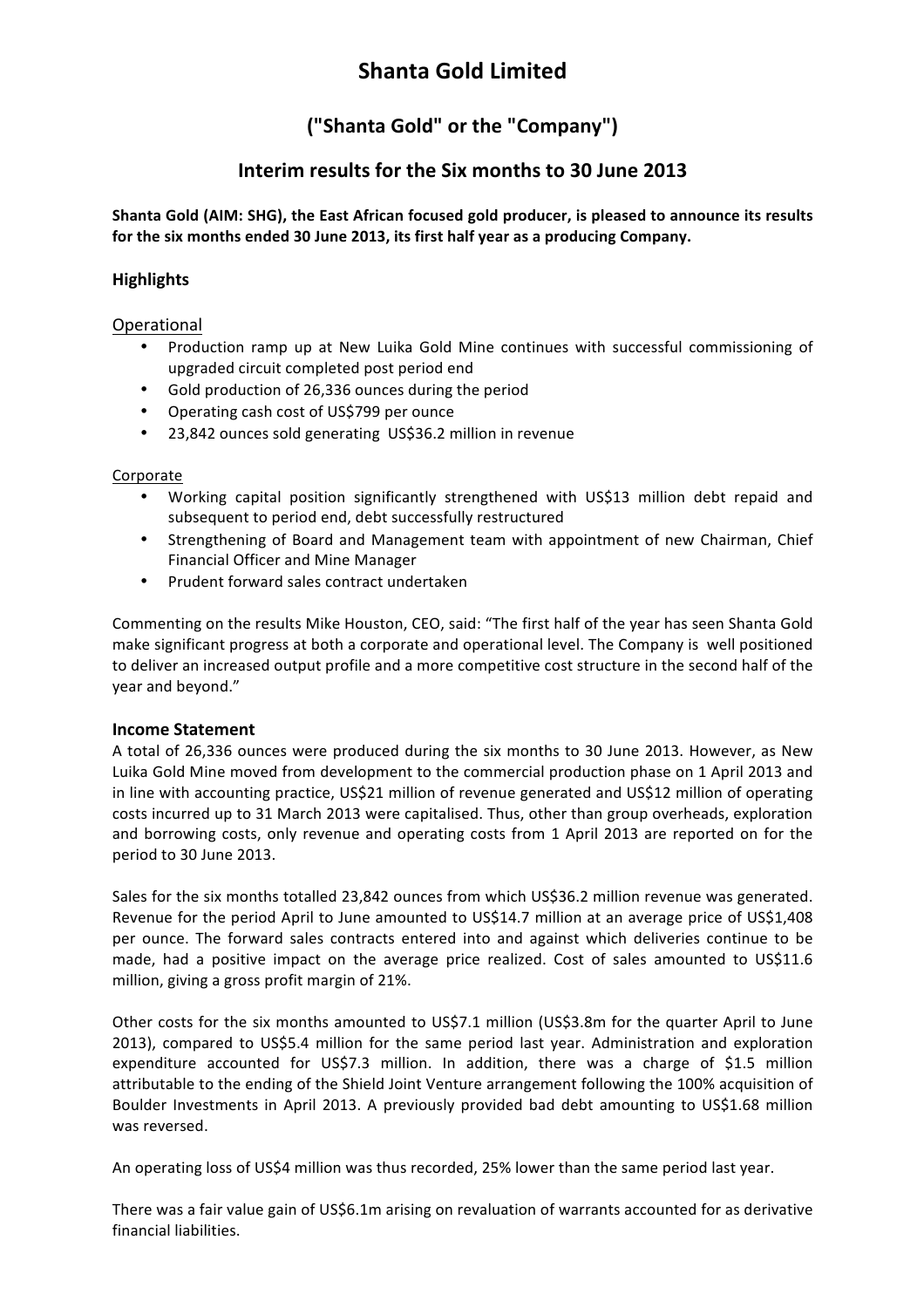# **Shanta&Gold&Limited**

# **("Shanta Gold" or the "Company")**

## **Interim results for the Six months to 30 June 2013**

Shanta Gold (AIM: SHG), the East African focused gold producer, is pleased to announce its results for the six months ended 30 June 2013, its first half year as a producing Company.

## **Highlights**

Operational

- Production ramp up at New Luika Gold Mine continues with successful commissioning of upgraded circuit completed post period end
- Gold production of 26,336 ounces during the period
- Operating cash cost of US\$799 per ounce
- 23,842 ounces sold generating US\$36.2 million in revenue

### Corporate

- Working capital position significantly strengthened with US\$13 million debt repaid and subsequent to period end, debt successfully restructured
- Strengthening of Board and Management team with appointment of new Chairman, Chief Financial Officer and Mine Manager
- Prudent forward sales contract undertaken

Commenting on the results Mike Houston, CEO, said: "The first half of the year has seen Shanta Gold make significant progress at both a corporate and operational level. The Company is well positioned to deliver an increased output profile and a more competitive cost structure in the second half of the year and beyond."

### **Income Statement**

A total of 26,336 ounces were produced during the six months to 30 June 2013. However, as New Luika Gold Mine moved from development to the commercial production phase on 1 April 2013 and in line with accounting practice, US\$21 million of revenue generated and US\$12 million of operating costs incurred up to 31 March 2013 were capitalised. Thus, other than group overheads, exploration and borrowing costs, only revenue and operating costs from 1 April 2013 are reported on for the period to 30 June 2013.

Sales for the six months totalled 23,842 ounces from which US\$36.2 million revenue was generated. Revenue for the period April to June amounted to US\$14.7 million at an average price of US\$1,408 per ounce. The forward sales contracts entered into and against which deliveries continue to be made, had a positive impact on the average price realized. Cost of sales amounted to US\$11.6 million, giving a gross profit margin of 21%.

Other costs for the six months amounted to US\$7.1 million (US\$3.8m for the quarter April to June 2013), compared to US\$5.4 million for the same period last year. Administration and exploration expenditure accounted for US\$7.3 million. In addition, there was a charge of \$1.5 million attributable to the ending of the Shield Joint Venture arrangement following the 100% acquisition of Boulder Investments in April 2013. A previously provided bad debt amounting to US\$1.68 million was reversed.

An operating loss of US\$4 million was thus recorded, 25% lower than the same period last year.

There was a fair value gain of US\$6.1m arising on revaluation of warrants accounted for as derivative financial liabilities.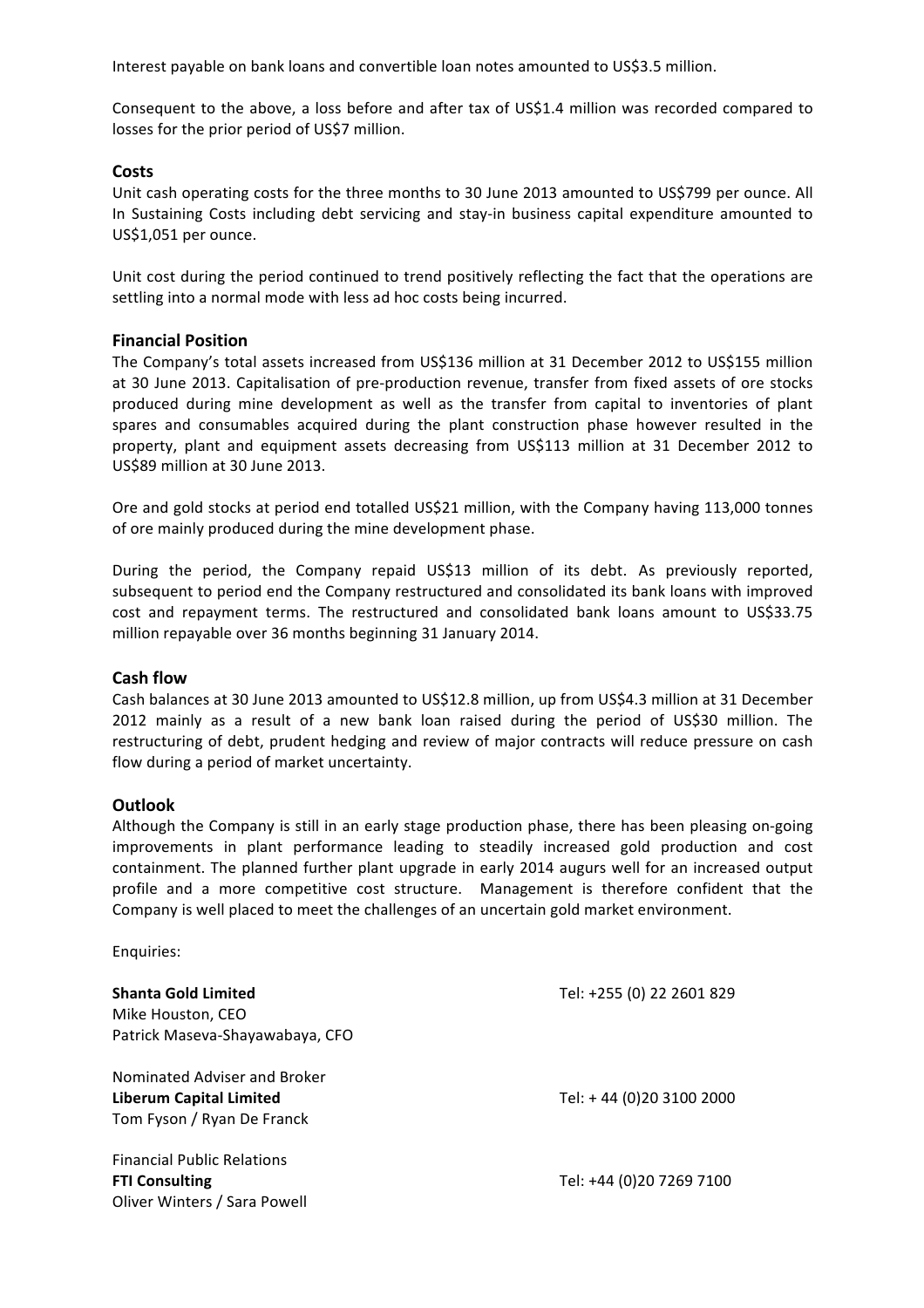Interest payable on bank loans and convertible loan notes amounted to US\$3.5 million.

Consequent to the above, a loss before and after tax of US\$1.4 million was recorded compared to losses for the prior period of US\$7 million.

### **Costs**

Unit cash operating costs for the three months to 30 June 2013 amounted to US\$799 per ounce. All In Sustaining Costs including debt servicing and stay-in business capital expenditure amounted to US\$1,051 per ounce.

Unit cost during the period continued to trend positively reflecting the fact that the operations are settling into a normal mode with less ad hoc costs being incurred.

### **Financial Position**

The Company's total assets increased from US\$136 million at 31 December 2012 to US\$155 million at 30 June 2013. Capitalisation of pre-production revenue, transfer from fixed assets of ore stocks produced during mine development as well as the transfer from capital to inventories of plant spares and consumables acquired during the plant construction phase however resulted in the property, plant and equipment assets decreasing from US\$113 million at 31 December 2012 to US\$89 million at 30 June 2013.

Ore and gold stocks at period end totalled US\$21 million, with the Company having 113,000 tonnes of ore mainly produced during the mine development phase.

During the period, the Company repaid US\$13 million of its debt. As previously reported, subsequent to period end the Company restructured and consolidated its bank loans with improved cost and repayment terms. The restructured and consolidated bank loans amount to US\$33.75 million repayable over 36 months beginning 31 January 2014.

#### **Cash flow**

Cash balances at 30 June 2013 amounted to US\$12.8 million, up from US\$4.3 million at 31 December 2012 mainly as a result of a new bank loan raised during the period of US\$30 million. The restructuring of debt, prudent hedging and review of major contracts will reduce pressure on cash flow during a period of market uncertainty.

#### **Outlook**

Although the Company is still in an early stage production phase, there has been pleasing on-going improvements in plant performance leading to steadily increased gold production and cost containment. The planned further plant upgrade in early 2014 augurs well for an increased output profile and a more competitive cost structure. Management is therefore confident that the Company is well placed to meet the challenges of an uncertain gold market environment.

Enquiries:

| <b>Shanta Gold Limited</b><br>Mike Houston, CEO<br>Patrick Maseva-Shayawabaya, CFO           | Tel: +255 (0) 22 2601 829 |
|----------------------------------------------------------------------------------------------|---------------------------|
| Nominated Adviser and Broker<br><b>Liberum Capital Limited</b><br>Tom Fyson / Ryan De Franck | Tel: +44 (0)20 3100 2000  |
| <b>Financial Public Relations</b><br><b>FTI Consulting</b><br>Oliver Winters / Sara Powell   | Tel: +44 (0)20 7269 7100  |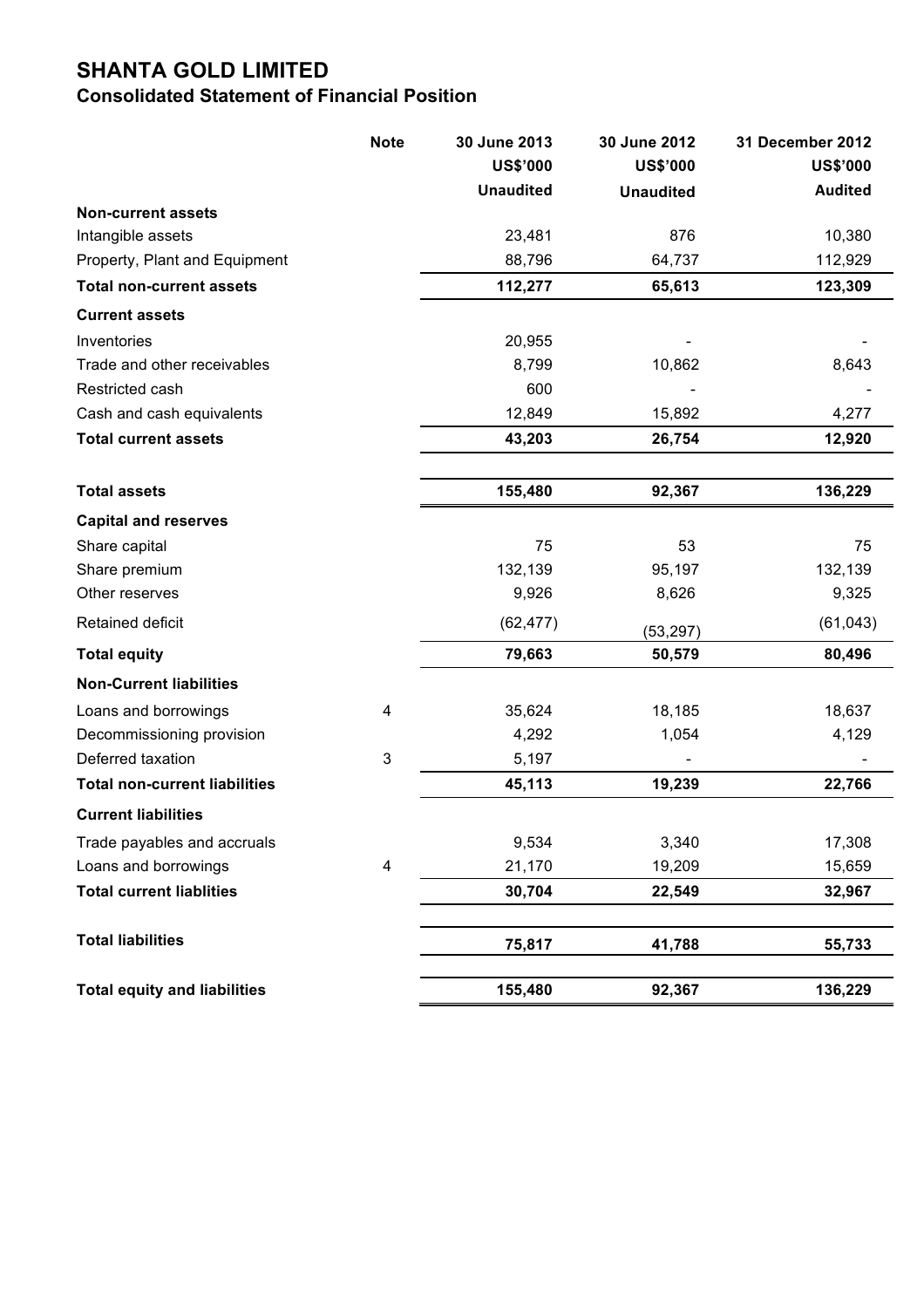# **SHANTA GOLD LIMITED**

## **Consolidated Statement of Financial Position**

|                                                                  | <b>Note</b> | 30 June 2013     | 30 June 2012     | 31 December 2012   |
|------------------------------------------------------------------|-------------|------------------|------------------|--------------------|
|                                                                  |             | <b>US\$'000</b>  | <b>US\$'000</b>  | <b>US\$'000</b>    |
|                                                                  |             | <b>Unaudited</b> | <b>Unaudited</b> | <b>Audited</b>     |
| <b>Non-current assets</b>                                        |             |                  |                  |                    |
| Intangible assets                                                |             | 23,481<br>88,796 | 876<br>64,737    | 10,380             |
| Property, Plant and Equipment<br><b>Total non-current assets</b> |             | 112,277          | 65,613           | 112,929<br>123,309 |
|                                                                  |             |                  |                  |                    |
| <b>Current assets</b>                                            |             |                  |                  |                    |
| Inventories                                                      |             | 20,955           |                  |                    |
| Trade and other receivables                                      |             | 8,799            | 10,862           | 8,643              |
| Restricted cash                                                  |             | 600              |                  |                    |
| Cash and cash equivalents                                        |             | 12,849           | 15,892           | 4,277              |
| <b>Total current assets</b>                                      |             | 43,203           | 26,754           | 12,920             |
| <b>Total assets</b>                                              |             | 155,480          | 92,367           | 136,229            |
| <b>Capital and reserves</b>                                      |             |                  |                  |                    |
| Share capital                                                    |             | 75               | 53               | 75                 |
| Share premium                                                    |             | 132,139          | 95,197           | 132,139            |
| Other reserves                                                   |             | 9,926            | 8,626            | 9,325              |
| Retained deficit                                                 |             | (62, 477)        | (53, 297)        | (61, 043)          |
| <b>Total equity</b>                                              |             | 79,663           | 50,579           | 80,496             |
| <b>Non-Current liabilities</b>                                   |             |                  |                  |                    |
| Loans and borrowings                                             | 4           | 35,624           | 18,185           | 18,637             |
| Decommissioning provision                                        |             | 4,292            | 1,054            | 4,129              |
| Deferred taxation                                                | 3           | 5,197            |                  |                    |
| <b>Total non-current liabilities</b>                             |             | 45,113           | 19,239           | 22,766             |
| <b>Current liabilities</b>                                       |             |                  |                  |                    |
| Trade payables and accruals                                      |             | 9,534            | 3,340            | 17,308             |
| Loans and borrowings                                             | 4           | 21,170           | 19,209           | 15,659             |
| <b>Total current liablities</b>                                  |             | 30,704           | 22,549           | 32,967             |
| <b>Total liabilities</b>                                         |             | 75,817           | 41,788           | 55,733             |
|                                                                  |             |                  |                  |                    |
| <b>Total equity and liabilities</b>                              |             | 155,480          | 92,367           | 136,229            |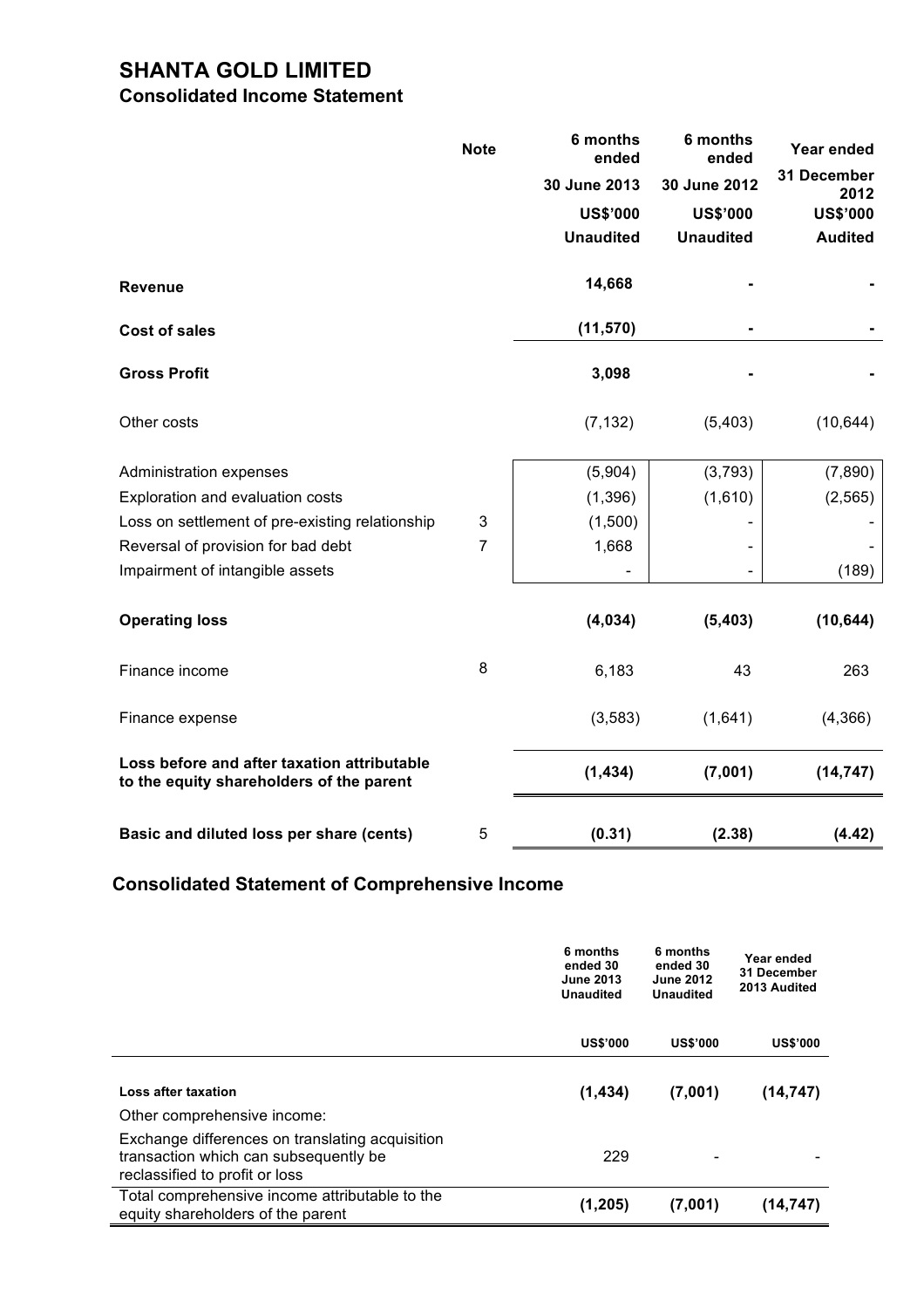# **SHANTA GOLD LIMITED**

## **Consolidated Income Statement**

|                                                                                         | <b>Note</b>    | 6 months<br>ended | 6 months<br>ended | Year ended          |
|-----------------------------------------------------------------------------------------|----------------|-------------------|-------------------|---------------------|
|                                                                                         |                | 30 June 2013      | 30 June 2012      | 31 December<br>2012 |
|                                                                                         |                | <b>US\$'000</b>   | <b>US\$'000</b>   | <b>US\$'000</b>     |
|                                                                                         |                | <b>Unaudited</b>  | <b>Unaudited</b>  | <b>Audited</b>      |
| <b>Revenue</b>                                                                          |                | 14,668            |                   |                     |
| <b>Cost of sales</b>                                                                    |                | (11, 570)         |                   |                     |
| <b>Gross Profit</b>                                                                     |                | 3,098             |                   |                     |
| Other costs                                                                             |                | (7, 132)          | (5,403)           | (10, 644)           |
| Administration expenses                                                                 |                | (5,904)           | (3,793)           | (7,890)             |
| Exploration and evaluation costs                                                        |                | (1,396)           | (1,610)           | (2, 565)            |
| Loss on settlement of pre-existing relationship                                         | 3              | (1,500)           |                   |                     |
| Reversal of provision for bad debt                                                      | $\overline{7}$ | 1,668             |                   |                     |
| Impairment of intangible assets                                                         |                |                   |                   | (189)               |
| <b>Operating loss</b>                                                                   |                | (4,034)           | (5, 403)          | (10, 644)           |
| Finance income                                                                          | 8              | 6,183             | 43                | 263                 |
| Finance expense                                                                         |                | (3, 583)          | (1,641)           | (4,366)             |
| Loss before and after taxation attributable<br>to the equity shareholders of the parent |                | (1, 434)          | (7,001)           | (14, 747)           |
| Basic and diluted loss per share (cents)                                                | 5              | (0.31)            | (2.38)            | (4.42)              |

# **Consolidated Statement of Comprehensive Income**

|                                                                                                                            | 6 months<br>ended 30<br><b>June 2013</b><br><b>Unaudited</b> | 6 months<br>ended 30<br><b>June 2012</b><br><b>Unaudited</b> | Year ended<br>31 December<br>2013 Audited |
|----------------------------------------------------------------------------------------------------------------------------|--------------------------------------------------------------|--------------------------------------------------------------|-------------------------------------------|
|                                                                                                                            | <b>US\$'000</b>                                              | <b>US\$'000</b>                                              | <b>US\$'000</b>                           |
| Loss after taxation<br>Other comprehensive income:                                                                         | (1,434)                                                      | (7,001)                                                      | (14, 747)                                 |
| Exchange differences on translating acquisition<br>transaction which can subsequently be<br>reclassified to profit or loss | 229                                                          |                                                              |                                           |
| Total comprehensive income attributable to the<br>equity shareholders of the parent                                        | (1,205)                                                      | (7,001)                                                      | (14, 747)                                 |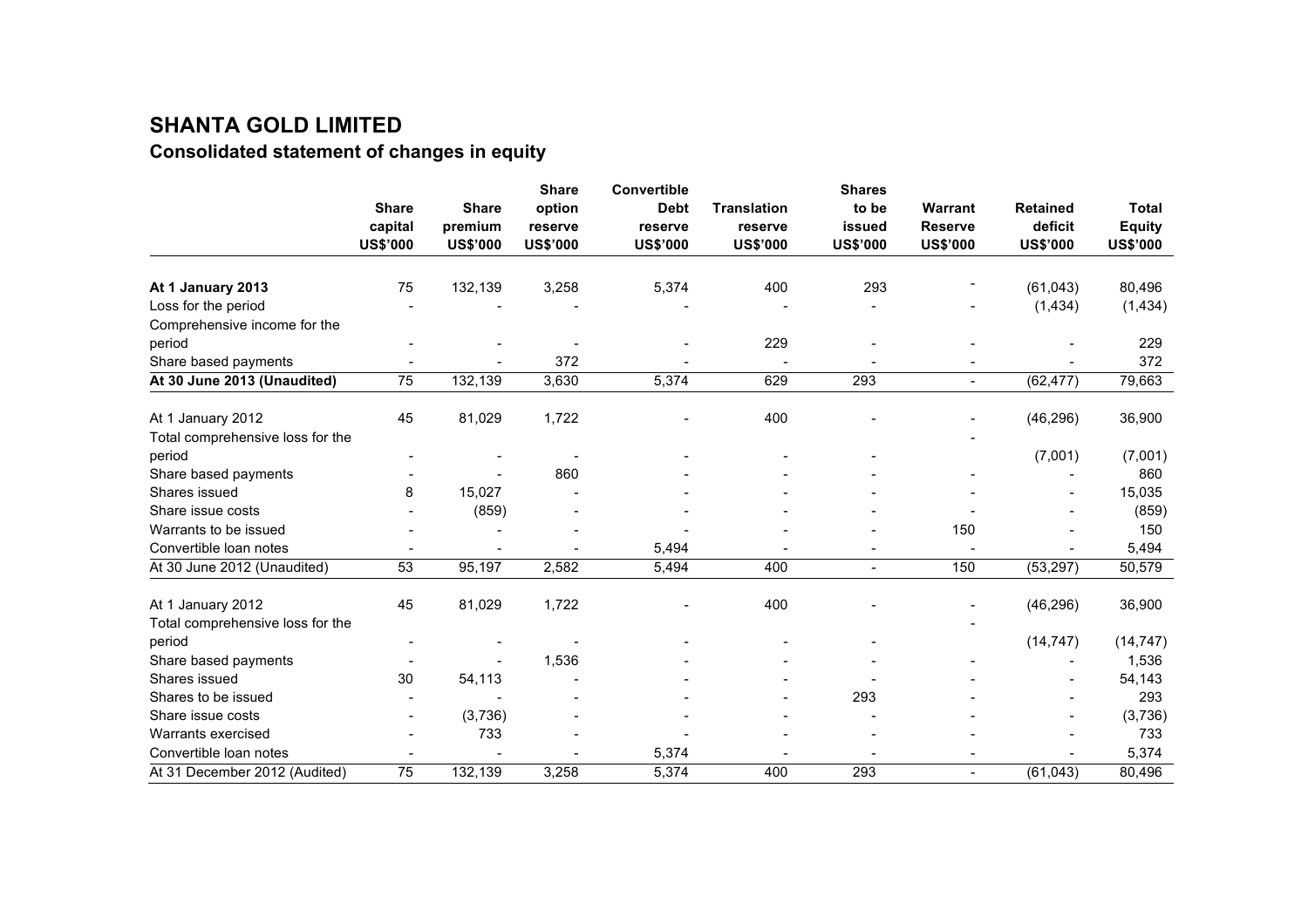# **SHANTA GOLD LIMITED**

# **Consolidated statement of changes in equity**

|                                  |                 |                 | <b>Share</b>    | <b>Convertible</b> |                    | <b>Shares</b>   |                 |                 |                 |
|----------------------------------|-----------------|-----------------|-----------------|--------------------|--------------------|-----------------|-----------------|-----------------|-----------------|
|                                  | <b>Share</b>    | <b>Share</b>    | option          | <b>Debt</b>        | <b>Translation</b> | to be           | Warrant         | <b>Retained</b> | <b>Total</b>    |
|                                  | capital         | premium         | reserve         | reserve            | reserve            | issued          | <b>Reserve</b>  | deficit         | <b>Equity</b>   |
|                                  | <b>US\$'000</b> | <b>US\$'000</b> | <b>US\$'000</b> | <b>US\$'000</b>    | <b>US\$'000</b>    | <b>US\$'000</b> | <b>US\$'000</b> | <b>US\$'000</b> | <b>US\$'000</b> |
|                                  |                 |                 |                 |                    |                    |                 |                 |                 |                 |
| At 1 January 2013                | 75              | 132,139         | 3,258           | 5,374              | 400                | 293             |                 | (61, 043)       | 80,496          |
| Loss for the period              |                 |                 |                 |                    |                    |                 |                 | (1,434)         | (1, 434)        |
| Comprehensive income for the     |                 |                 |                 |                    |                    |                 |                 |                 |                 |
| period                           |                 |                 |                 |                    | 229                |                 |                 |                 | 229             |
| Share based payments             |                 |                 | 372             |                    |                    |                 |                 |                 | 372             |
| At 30 June 2013 (Unaudited)      | 75              | 132,139         | 3,630           | 5,374              | 629                | 293             | $\blacksquare$  | (62, 477)       | 79,663          |
| At 1 January 2012                | 45              | 81,029          | 1,722           |                    | 400                |                 |                 | (46, 296)       | 36,900          |
| Total comprehensive loss for the |                 |                 |                 |                    |                    |                 |                 |                 |                 |
| period                           |                 |                 |                 |                    |                    |                 |                 | (7,001)         | (7,001)         |
| Share based payments             |                 |                 | 860             |                    |                    |                 |                 |                 | 860             |
| Shares issued                    | 8               | 15,027          |                 |                    |                    |                 |                 |                 | 15,035          |
| Share issue costs                |                 | (859)           |                 |                    |                    |                 |                 |                 | (859)           |
| Warrants to be issued            |                 |                 |                 |                    |                    |                 | 150             |                 | 150             |
| Convertible loan notes           |                 |                 |                 | 5,494              |                    |                 |                 |                 | 5,494           |
| At 30 June 2012 (Unaudited)      | 53              | 95,197          | 2,582           | 5,494              | 400                |                 | 150             | (53, 297)       | 50,579          |
| At 1 January 2012                | 45              | 81,029          | 1,722           |                    | 400                |                 |                 | (46, 296)       | 36,900          |
| Total comprehensive loss for the |                 |                 |                 |                    |                    |                 |                 |                 |                 |
| period                           |                 |                 |                 |                    |                    |                 |                 | (14, 747)       | (14, 747)       |
| Share based payments             |                 |                 | 1,536           |                    |                    |                 |                 |                 | 1,536           |
| Shares issued                    | 30              | 54,113          |                 |                    |                    |                 |                 |                 | 54,143          |
| Shares to be issued              |                 |                 |                 |                    |                    | 293             |                 |                 | 293             |
| Share issue costs                |                 | (3,736)         |                 |                    |                    |                 |                 |                 | (3,736)         |
| Warrants exercised               |                 | 733             |                 |                    |                    |                 |                 |                 | 733             |
| Convertible loan notes           |                 |                 |                 | 5,374              |                    |                 |                 |                 | 5,374           |
| At 31 December 2012 (Audited)    | 75              | 132,139         | 3,258           | 5,374              | 400                | 293             | $\sim$          | (61, 043)       | 80,496          |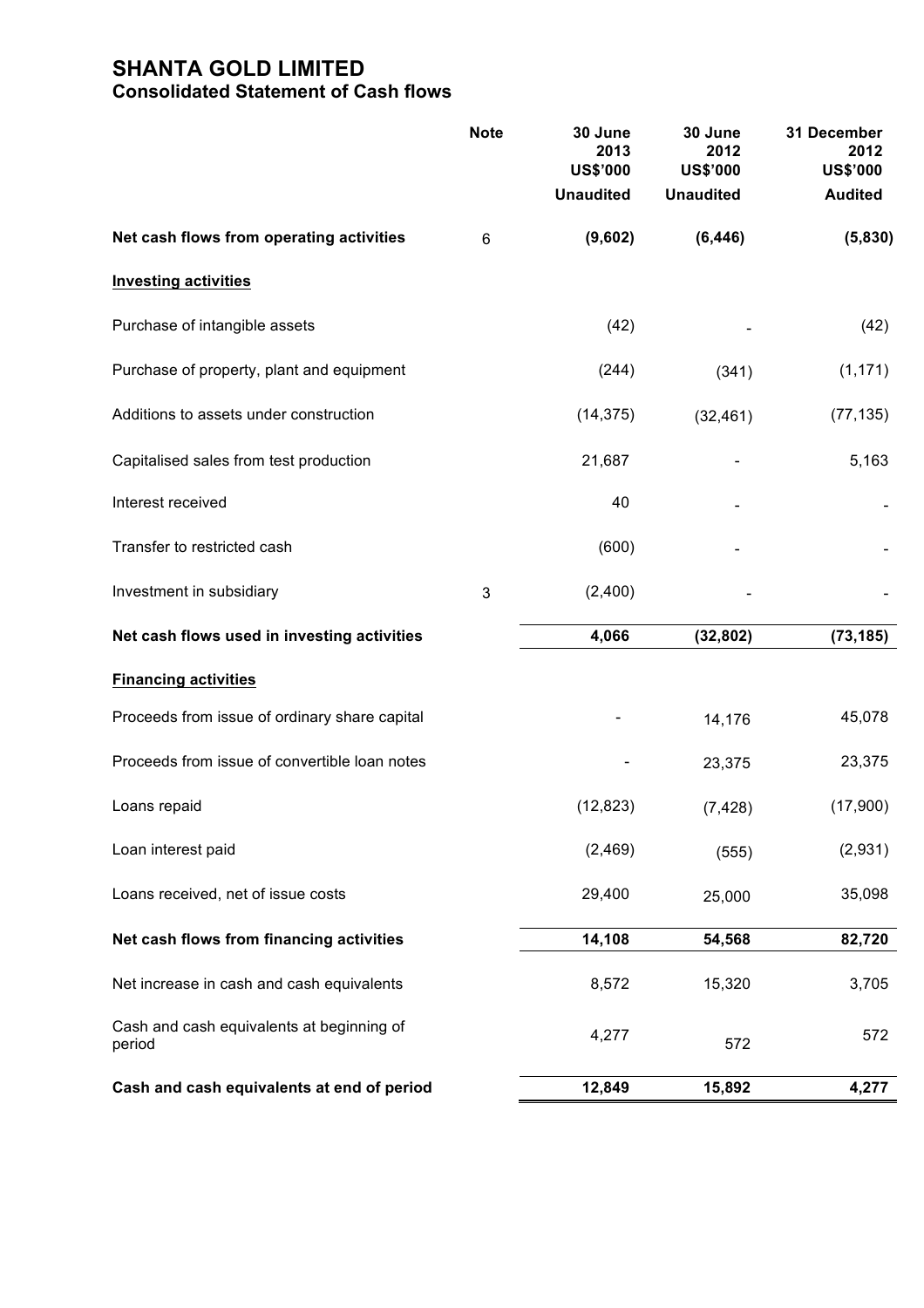# **SHANTA GOLD LIMITED Consolidated Statement of Cash flows**

|                                                     | <b>Note</b> | 30 June<br>2013<br><b>US\$'000</b><br><b>Unaudited</b> | 30 June<br>2012<br><b>US\$'000</b><br><b>Unaudited</b> | 31 December<br>2012<br><b>US\$'000</b><br><b>Audited</b> |
|-----------------------------------------------------|-------------|--------------------------------------------------------|--------------------------------------------------------|----------------------------------------------------------|
| Net cash flows from operating activities            | 6           | (9,602)                                                | (6, 446)                                               | (5,830)                                                  |
| <b>Investing activities</b>                         |             |                                                        |                                                        |                                                          |
| Purchase of intangible assets                       |             | (42)                                                   |                                                        | (42)                                                     |
| Purchase of property, plant and equipment           |             | (244)                                                  | (341)                                                  | (1, 171)                                                 |
| Additions to assets under construction              |             | (14, 375)                                              | (32, 461)                                              | (77, 135)                                                |
| Capitalised sales from test production              |             | 21,687                                                 |                                                        | 5,163                                                    |
| Interest received                                   |             | 40                                                     |                                                        |                                                          |
| Transfer to restricted cash                         |             | (600)                                                  |                                                        |                                                          |
| Investment in subsidiary                            | $\sqrt{3}$  | (2,400)                                                |                                                        |                                                          |
| Net cash flows used in investing activities         |             | 4,066                                                  | (32, 802)                                              | (73, 185)                                                |
| <b>Financing activities</b>                         |             |                                                        |                                                        |                                                          |
| Proceeds from issue of ordinary share capital       |             |                                                        | 14,176                                                 | 45,078                                                   |
| Proceeds from issue of convertible loan notes       |             |                                                        | 23,375                                                 | 23,375                                                   |
| Loans repaid                                        |             | (12, 823)                                              | (7, 428)                                               | (17,900)                                                 |
| Loan interest paid                                  |             | (2,469)                                                | (555)                                                  | (2,931)                                                  |
| Loans received, net of issue costs                  |             | 29,400                                                 | 25,000                                                 | 35,098                                                   |
| Net cash flows from financing activities            |             | 14,108                                                 | 54,568                                                 | 82,720                                                   |
| Net increase in cash and cash equivalents           |             | 8,572                                                  | 15,320                                                 | 3,705                                                    |
| Cash and cash equivalents at beginning of<br>period |             | 4,277                                                  | 572                                                    | 572                                                      |
| Cash and cash equivalents at end of period          |             | 12,849                                                 | 15,892                                                 | 4,277                                                    |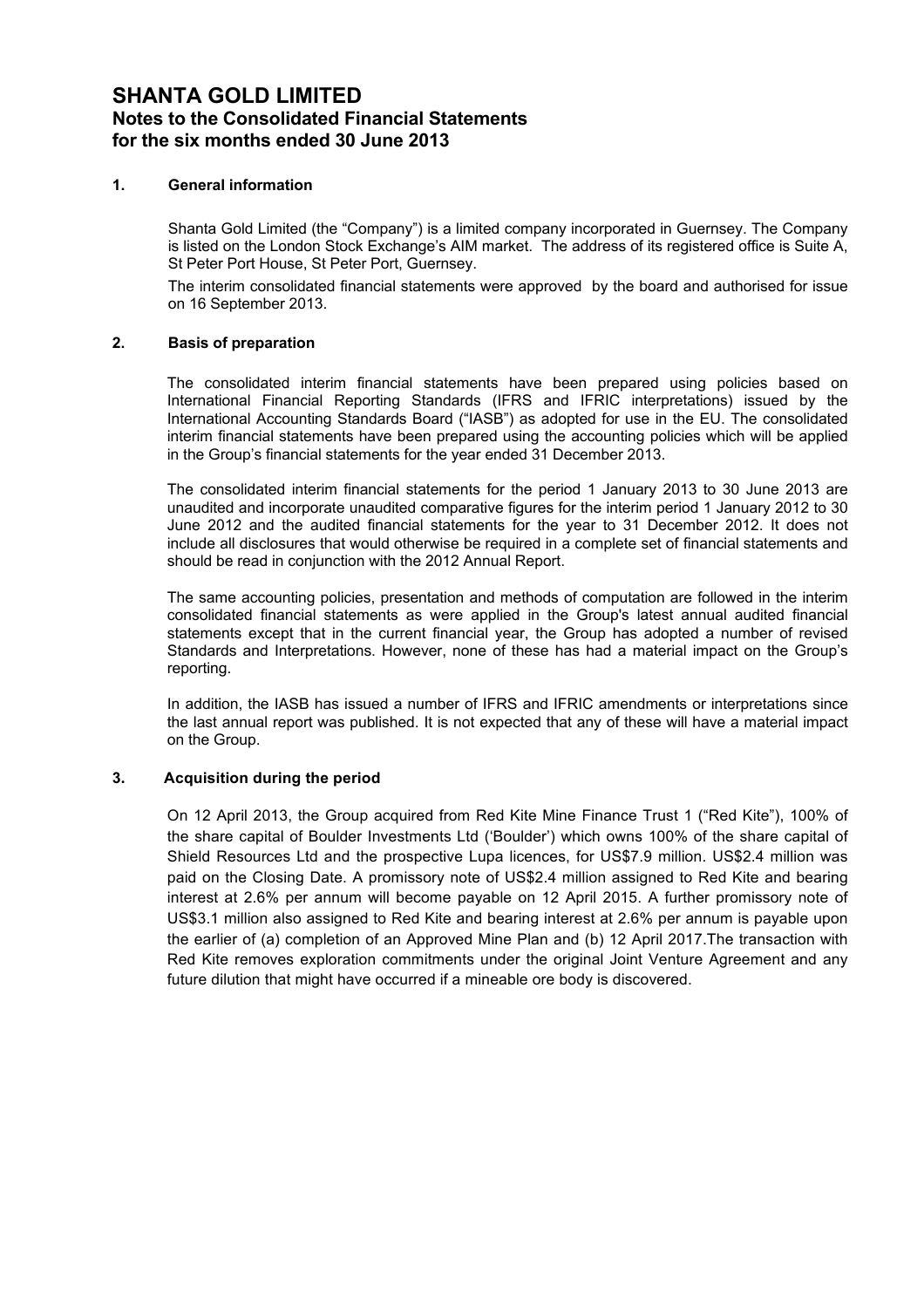## **SHANTA GOLD LIMITED Notes to the Consolidated Financial Statements for the six months ended 30 June 2013**

### **1. General information**

Shanta Gold Limited (the "Company") is a limited company incorporated in Guernsey. The Company is listed on the London Stock Exchange's AIM market. The address of its registered office is Suite A, St Peter Port House, St Peter Port, Guernsey.

The interim consolidated financial statements were approved by the board and authorised for issue on 16 September 2013.

### **2. Basis of preparation**

The consolidated interim financial statements have been prepared using policies based on International Financial Reporting Standards (IFRS and IFRIC interpretations) issued by the International Accounting Standards Board ("IASB") as adopted for use in the EU. The consolidated interim financial statements have been prepared using the accounting policies which will be applied in the Group's financial statements for the year ended 31 December 2013.

The consolidated interim financial statements for the period 1 January 2013 to 30 June 2013 are unaudited and incorporate unaudited comparative figures for the interim period 1 January 2012 to 30 June 2012 and the audited financial statements for the year to 31 December 2012. It does not include all disclosures that would otherwise be required in a complete set of financial statements and should be read in conjunction with the 2012 Annual Report.

The same accounting policies, presentation and methods of computation are followed in the interim consolidated financial statements as were applied in the Group's latest annual audited financial statements except that in the current financial year, the Group has adopted a number of revised Standards and Interpretations. However, none of these has had a material impact on the Group's reporting.

In addition, the IASB has issued a number of IFRS and IFRIC amendments or interpretations since the last annual report was published. It is not expected that any of these will have a material impact on the Group.

#### **3.""""""""""Acquisition during the period**

On 12 April 2013, the Group acquired from Red Kite Mine Finance Trust 1 ("Red Kite"), 100% of the share capital of Boulder Investments Ltd ('Boulder') which owns 100% of the share capital of Shield Resources Ltd and the prospective Lupa licences, for US\$7.9 million. US\$2.4 million was paid on the Closing Date. A promissory note of US\$2.4 million assigned to Red Kite and bearing interest at 2.6% per annum will become payable on 12 April 2015. A further promissory note of US\$3.1 million also assigned to Red Kite and bearing interest at 2.6% per annum is payable upon the earlier of (a) completion of an Approved Mine Plan and (b) 12 April 2017.The transaction with Red Kite removes exploration commitments under the original Joint Venture Agreement and any future dilution that might have occurred if a mineable ore body is discovered.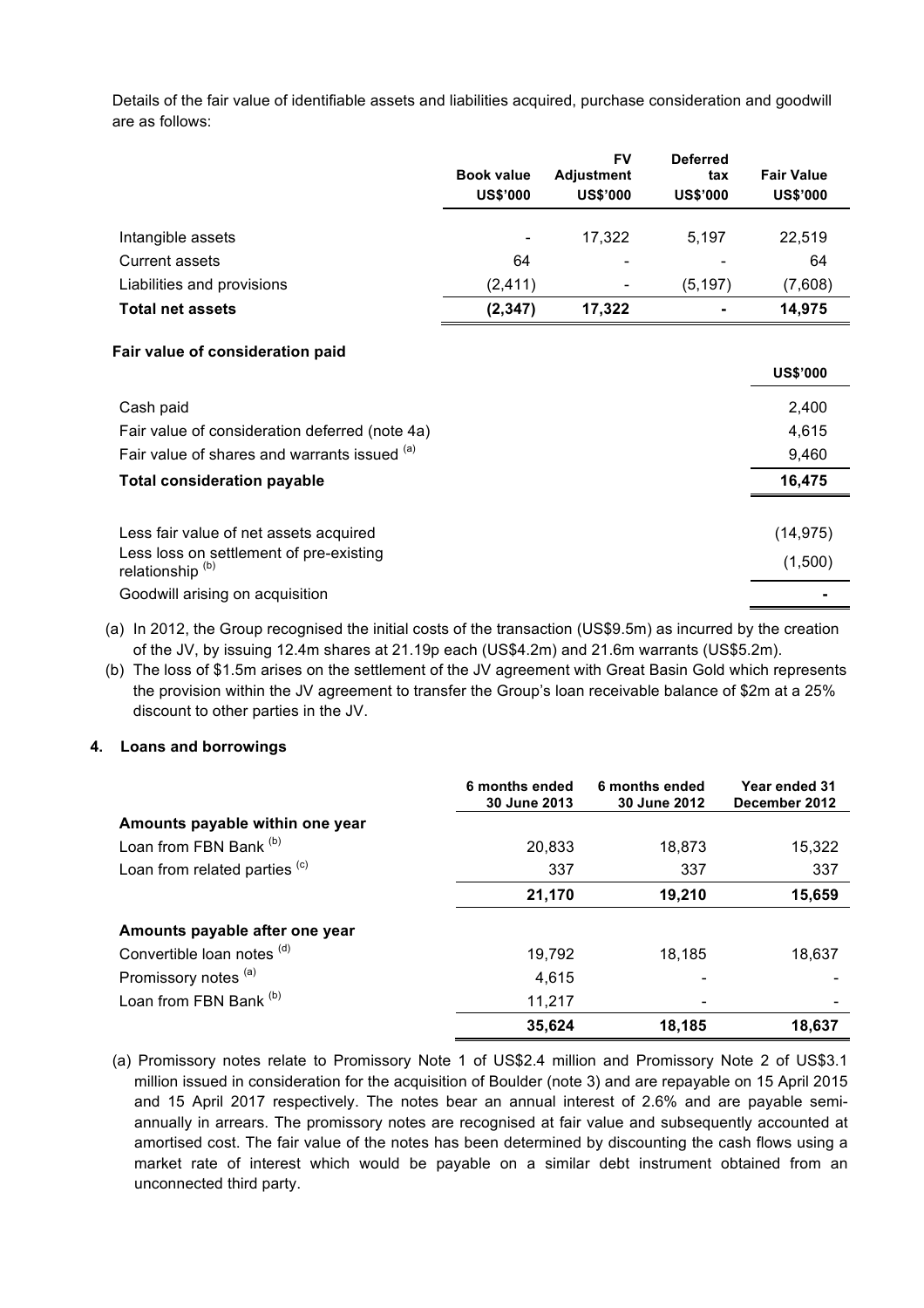Details of the fair value of identifiable assets and liabilities acquired, purchase consideration and goodwill are as follows:

|                                                | <b>Book value</b><br><b>US\$'000</b> | <b>FV</b><br><b>Adjustment</b><br><b>US\$'000</b> | <b>Deferred</b><br>tax<br><b>US\$'000</b> | <b>Fair Value</b><br><b>US\$'000</b> |
|------------------------------------------------|--------------------------------------|---------------------------------------------------|-------------------------------------------|--------------------------------------|
| Intangible assets                              |                                      | 17,322                                            | 5,197                                     | 22,519                               |
| <b>Current assets</b>                          | 64                                   |                                                   |                                           | 64                                   |
| Liabilities and provisions                     | (2, 411)                             |                                                   | (5, 197)                                  | (7,608)                              |
| <b>Total net assets</b>                        | (2, 347)                             | 17,322                                            |                                           | 14,975                               |
| Fair value of consideration paid               |                                      |                                                   |                                           | <b>US\$'000</b>                      |
| Cash paid                                      |                                      |                                                   |                                           | 2,400                                |
| Fair value of consideration deferred (note 4a) |                                      |                                                   |                                           | 4,615                                |
| Fair value of shares and warrants issued (a)   |                                      |                                                   |                                           | 9,460                                |
| <b>Total consideration payable</b>             |                                      |                                                   |                                           | 16,475                               |
|                                                |                                      |                                                   |                                           |                                      |
| Less fair value of net assets acquired         |                                      |                                                   |                                           | (14, 975)                            |
| Less loss on settlement of pre-existing        |                                      |                                                   |                                           | (1.500)                              |

(a) In 2012, the Group recognised the initial costs of the transaction (US\$9.5m) as incurred by the creation

of the JV, by issuing 12.4m shares at 21.19p each (US\$4.2m) and 21.6m warrants (US\$5.2m). (b) The loss of \$1.5m arises on the settlement of the JV agreement with Great Basin Gold which represents

relationship  $^{(b)}$  (1,500)

the provision within the JV agreement to transfer the Group's loan receivable balance of \$2m at a 25% discount to other parties in the JV.

### **4. Loans and borrowings**

Goodwill arising on acquisition **-**

|                                 | 6 months ended<br>30 June 2013 | 6 months ended<br>30 June 2012 | Year ended 31<br>December 2012 |
|---------------------------------|--------------------------------|--------------------------------|--------------------------------|
| Amounts payable within one year |                                |                                |                                |
| Loan from FBN Bank (b)          | 20,833                         | 18,873                         | 15,322                         |
| Loan from related parties (c)   | 337                            | 337                            | 337                            |
|                                 | 21,170                         | 19,210                         | 15,659                         |
| Amounts payable after one year  |                                |                                |                                |
| Convertible loan notes (d)      | 19,792                         | 18.185                         | 18,637                         |
| Promissory notes (a)            | 4,615                          |                                |                                |
| Loan from FBN Bank (b)          | 11,217                         |                                |                                |
|                                 | 35,624                         | 18,185                         | 18,637                         |

(a) Promissory notes relate to Promissory Note 1 of US\$2.4 million and Promissory Note 2 of US\$3.1 million issued in consideration for the acquisition of Boulder (note 3) and are repayable on 15 April 2015 and 15 April 2017 respectively. The notes bear an annual interest of 2.6% and are payable semiannually in arrears. The promissory notes are recognised at fair value and subsequently accounted at amortised cost. The fair value of the notes has been determined by discounting the cash flows using a market rate of interest which would be payable on a similar debt instrument obtained from an unconnected third party.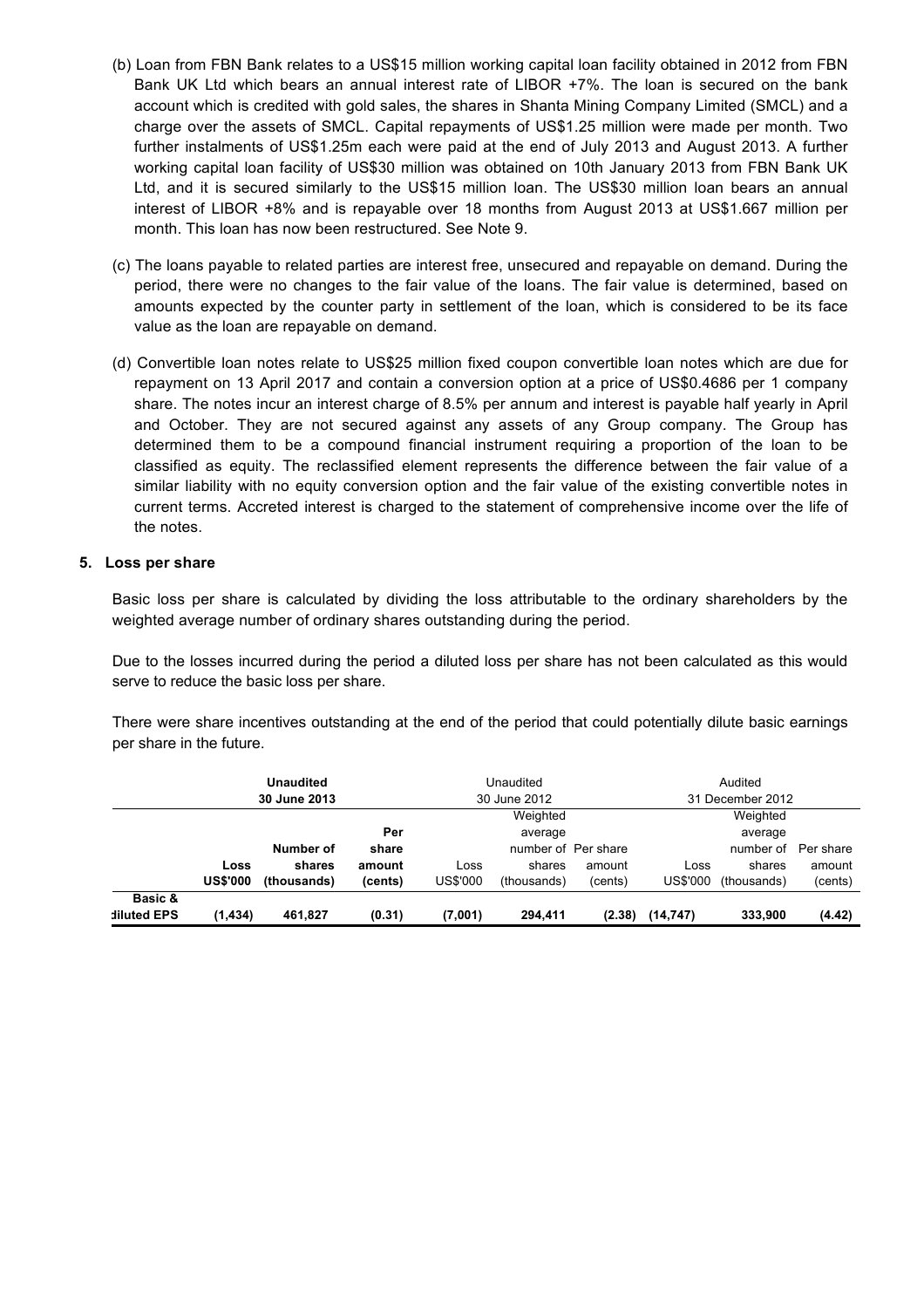- (b) Loan from FBN Bank relates to a US\$15 million working capital loan facility obtained in 2012 from FBN Bank UK Ltd which bears an annual interest rate of LIBOR +7%. The loan is secured on the bank account which is credited with gold sales, the shares in Shanta Mining Company Limited (SMCL) and a charge over the assets of SMCL. Capital repayments of US\$1.25 million were made per month. Two further instalments of US\$1.25m each were paid at the end of July 2013 and August 2013. A further working capital loan facility of US\$30 million was obtained on 10th January 2013 from FBN Bank UK Ltd, and it is secured similarly to the US\$15 million loan. The US\$30 million loan bears an annual interest of LIBOR +8% and is repayable over 18 months from August 2013 at US\$1.667 million per month. This loan has now been restructured. See Note 9.
- (c) The loans payable to related parties are interest free, unsecured and repayable on demand. During the period, there were no changes to the fair value of the loans. The fair value is determined, based on amounts expected by the counter party in settlement of the loan, which is considered to be its face value as the loan are repayable on demand.
- (d) Convertible loan notes relate to US\$25 million fixed coupon convertible loan notes which are due for repayment on 13 April 2017 and contain a conversion option at a price of US\$0.4686 per 1 company share. The notes incur an interest charge of 8.5% per annum and interest is payable half yearly in April and October. They are not secured against any assets of any Group company. The Group has determined them to be a compound financial instrument requiring a proportion of the loan to be classified as equity. The reclassified element represents the difference between the fair value of a similar liability with no equity conversion option and the fair value of the existing convertible notes in current terms. Accreted interest is charged to the statement of comprehensive income over the life of the notes.

### **5. Loss per share**

Basic loss per share is calculated by dividing the loss attributable to the ordinary shareholders by the weighted average number of ordinary shares outstanding during the period.

Due to the losses incurred during the period a diluted loss per share has not been calculated as this would serve to reduce the basic loss per share.

There were share incentives outstanding at the end of the period that could potentially dilute basic earnings per share in the future.

|             |                 | <b>Unaudited</b> |         | Audited<br>Unaudited             |                     |         |           |             |           |
|-------------|-----------------|------------------|---------|----------------------------------|---------------------|---------|-----------|-------------|-----------|
|             |                 | 30 June 2013     |         | 30 June 2012<br>31 December 2012 |                     |         |           |             |           |
|             |                 |                  |         |                                  | Weighted            |         |           | Weighted    |           |
|             |                 |                  | Per     |                                  | average             |         |           | average     |           |
|             |                 | Number of        | share   |                                  | number of Per share |         |           | number of   | Per share |
|             | Loss            | shares           | amount  | Loss                             | shares              | amount  | Loss      | shares      | amount    |
|             | <b>US\$'000</b> | (thousands)      | (cents) | <b>US\$'000</b>                  | (thousands)         | (cents) | US\$'000  | (thousands) | (cents)   |
| Basic &     |                 |                  |         |                                  |                     |         |           |             |           |
| diluted EPS | (1,434)         | 461,827          | (0.31)  | (7,001)                          | 294,411             | (2.38)  | (14, 747) | 333,900     | (4.42)    |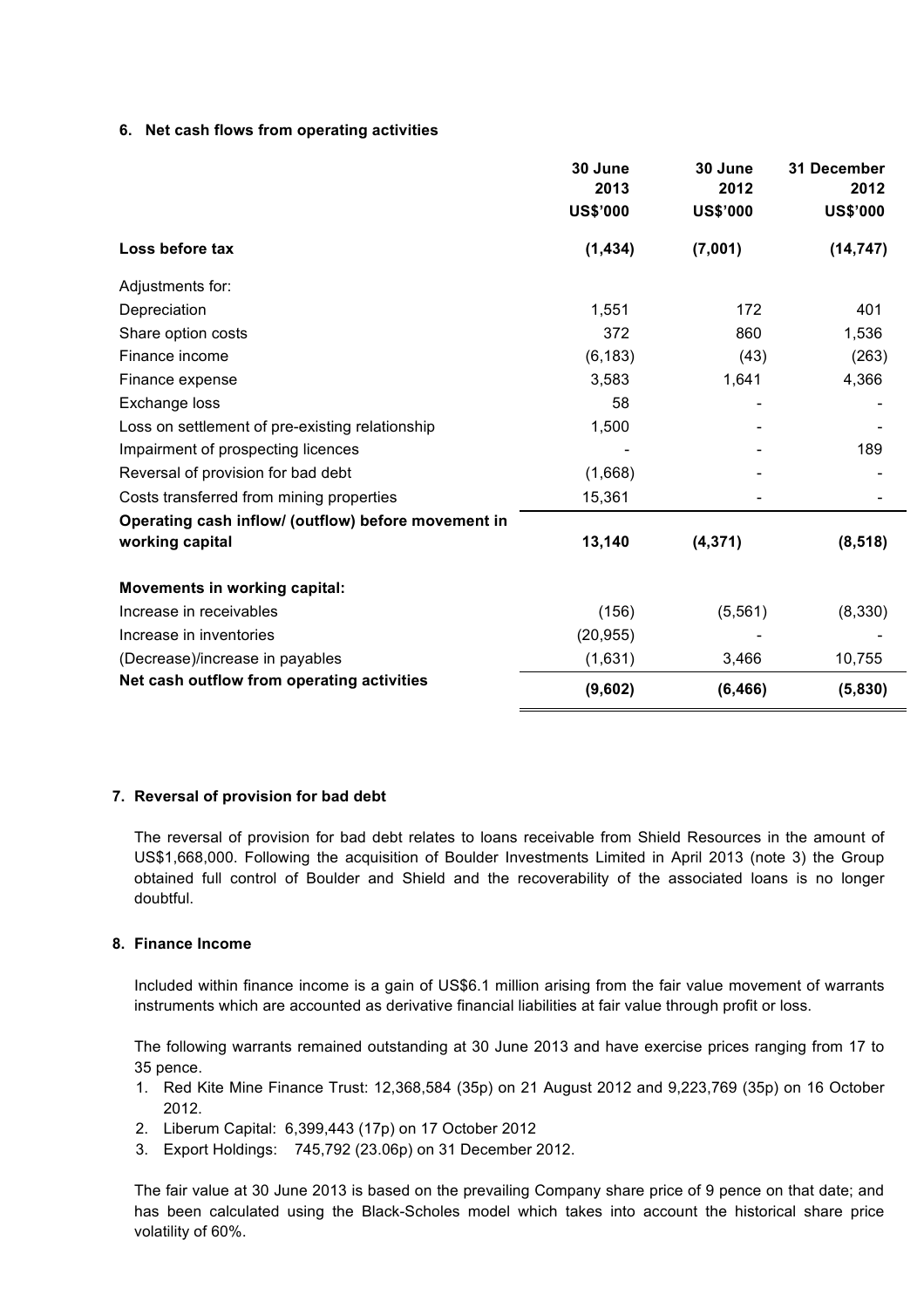### **6. Net cash flows from operating activities**

|                                                     | 30 June<br>2013 | 30 June<br>2012 | 31 December<br>2012 |
|-----------------------------------------------------|-----------------|-----------------|---------------------|
|                                                     | <b>US\$'000</b> | <b>US\$'000</b> | <b>US\$'000</b>     |
| Loss before tax                                     | (1, 434)        | (7,001)         | (14, 747)           |
| Adjustments for:                                    |                 |                 |                     |
| Depreciation                                        | 1,551           | 172             | 401                 |
| Share option costs                                  | 372             | 860             | 1,536               |
| Finance income                                      | (6, 183)        | (43)            | (263)               |
| Finance expense                                     | 3,583           | 1,641           | 4,366               |
| Exchange loss                                       | 58              |                 |                     |
| Loss on settlement of pre-existing relationship     | 1,500           |                 |                     |
| Impairment of prospecting licences                  |                 |                 | 189                 |
| Reversal of provision for bad debt                  | (1,668)         |                 |                     |
| Costs transferred from mining properties            | 15,361          |                 |                     |
| Operating cash inflow/ (outflow) before movement in |                 |                 |                     |
| working capital                                     | 13,140          | (4, 371)        | (8, 518)            |
| <b>Movements in working capital:</b>                |                 |                 |                     |
| Increase in receivables                             | (156)           | (5, 561)        | (8,330)             |
| Increase in inventories                             | (20, 955)       |                 |                     |
| (Decrease)/increase in payables                     | (1,631)         | 3,466           | 10,755              |
| Net cash outflow from operating activities          | (9,602)         | (6, 466)        | (5,830)             |

### **7. Reversal of provision for bad debt**

The reversal of provision for bad debt relates to loans receivable from Shield Resources in the amount of US\$1,668,000. Following the acquisition of Boulder Investments Limited in April 2013 (note 3) the Group obtained full control of Boulder and Shield and the recoverability of the associated loans is no longer doubtful.

### **8. Finance Income**

Included within finance income is a gain of US\$6.1 million arising from the fair value movement of warrants instruments which are accounted as derivative financial liabilities at fair value through profit or loss.

The following warrants remained outstanding at 30 June 2013 and have exercise prices ranging from 17 to 35 pence.

- 1. Red Kite Mine Finance Trust: 12,368,584 (35p) on 21 August 2012 and 9,223,769 (35p) on 16 October 2012.
- 2. Liberum Capital: 6,399,443 (17p) on 17 October 2012
- 3. Export Holdings: 745,792 (23.06p) on 31 December 2012.

The fair value at 30 June 2013 is based on the prevailing Company share price of 9 pence on that date; and has been calculated using the Black-Scholes model which takes into account the historical share price volatility of 60%.